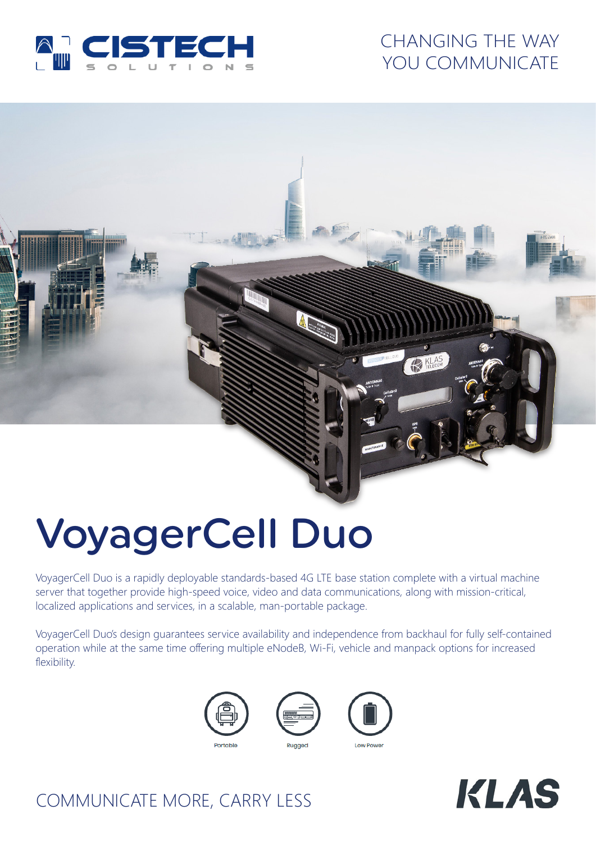

## CHANGING THE WAY YOU COMMUNICATE

# VoyagerCell Duo

VoyagerCell Duo is a rapidly deployable standards-based 4G LTE base station complete with a virtual machine server that together provide high-speed voice, video and data communications, along with mission-critical, localized applications and services, in a scalable, man-portable package.

VoyagerCell Duo's design guarantees service availability and independence from backhaul for fully self-contained operation while at the same time offering multiple eNodeB, Wi-Fi, vehicle and manpack options for increased flexibility.







# COMMUNICATE MORE, CARRY LESS